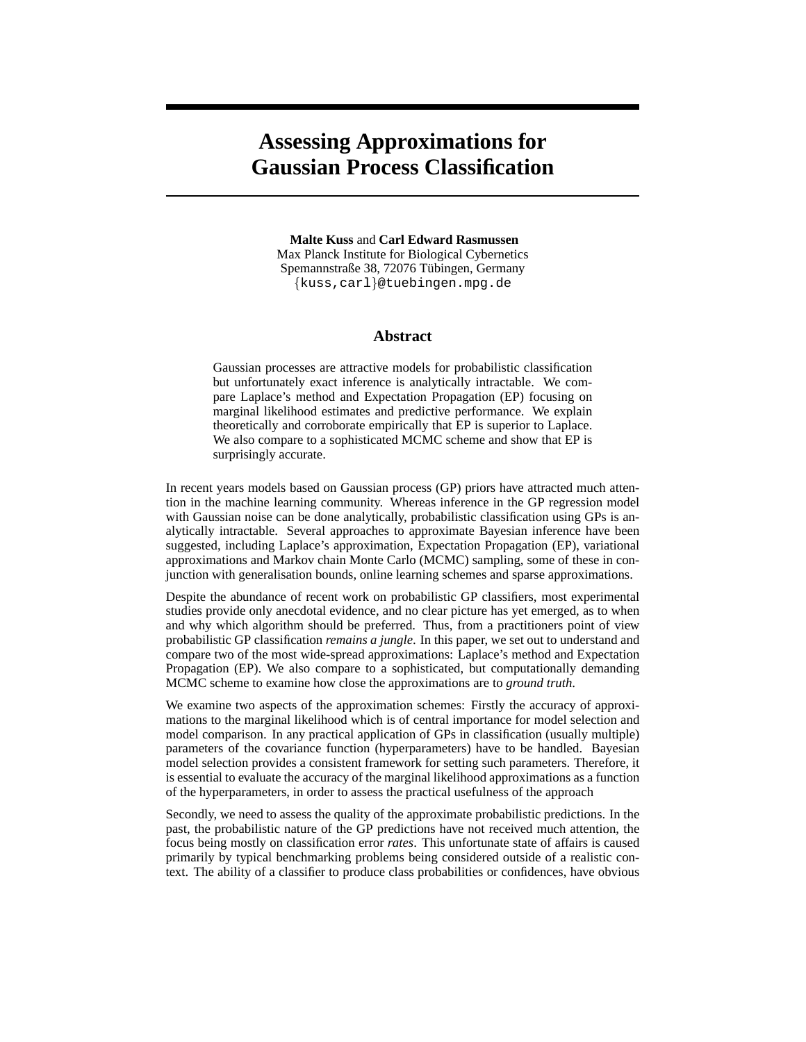# **Assessing Approximations for Gaussian Process Classification**

**Malte Kuss** and **Carl Edward Rasmussen** Max Planck Institute for Biological Cybernetics Spemannstraße 38, 72076 Tübingen, Germany {kuss,carl}@tuebingen.mpg.de

## **Abstract**

Gaussian processes are attractive models for probabilistic classification but unfortunately exact inference is analytically intractable. We compare Laplace's method and Expectation Propagation (EP) focusing on marginal likelihood estimates and predictive performance. We explain theoretically and corroborate empirically that EP is superior to Laplace. We also compare to a sophisticated MCMC scheme and show that EP is surprisingly accurate.

In recent years models based on Gaussian process (GP) priors have attracted much attention in the machine learning community. Whereas inference in the GP regression model with Gaussian noise can be done analytically, probabilistic classification using GPs is analytically intractable. Several approaches to approximate Bayesian inference have been suggested, including Laplace's approximation, Expectation Propagation (EP), variational approximations and Markov chain Monte Carlo (MCMC) sampling, some of these in conjunction with generalisation bounds, online learning schemes and sparse approximations.

Despite the abundance of recent work on probabilistic GP classifiers, most experimental studies provide only anecdotal evidence, and no clear picture has yet emerged, as to when and why which algorithm should be preferred. Thus, from a practitioners point of view probabilistic GP classification *remains a jungle*. In this paper, we set out to understand and compare two of the most wide-spread approximations: Laplace's method and Expectation Propagation (EP). We also compare to a sophisticated, but computationally demanding MCMC scheme to examine how close the approximations are to *ground truth*.

We examine two aspects of the approximation schemes: Firstly the accuracy of approximations to the marginal likelihood which is of central importance for model selection and model comparison. In any practical application of GPs in classification (usually multiple) parameters of the covariance function (hyperparameters) have to be handled. Bayesian model selection provides a consistent framework for setting such parameters. Therefore, it is essential to evaluate the accuracy of the marginal likelihood approximations as a function of the hyperparameters, in order to assess the practical usefulness of the approach

Secondly, we need to assess the quality of the approximate probabilistic predictions. In the past, the probabilistic nature of the GP predictions have not received much attention, the focus being mostly on classification error *rates*. This unfortunate state of affairs is caused primarily by typical benchmarking problems being considered outside of a realistic context. The ability of a classifier to produce class probabilities or confidences, have obvious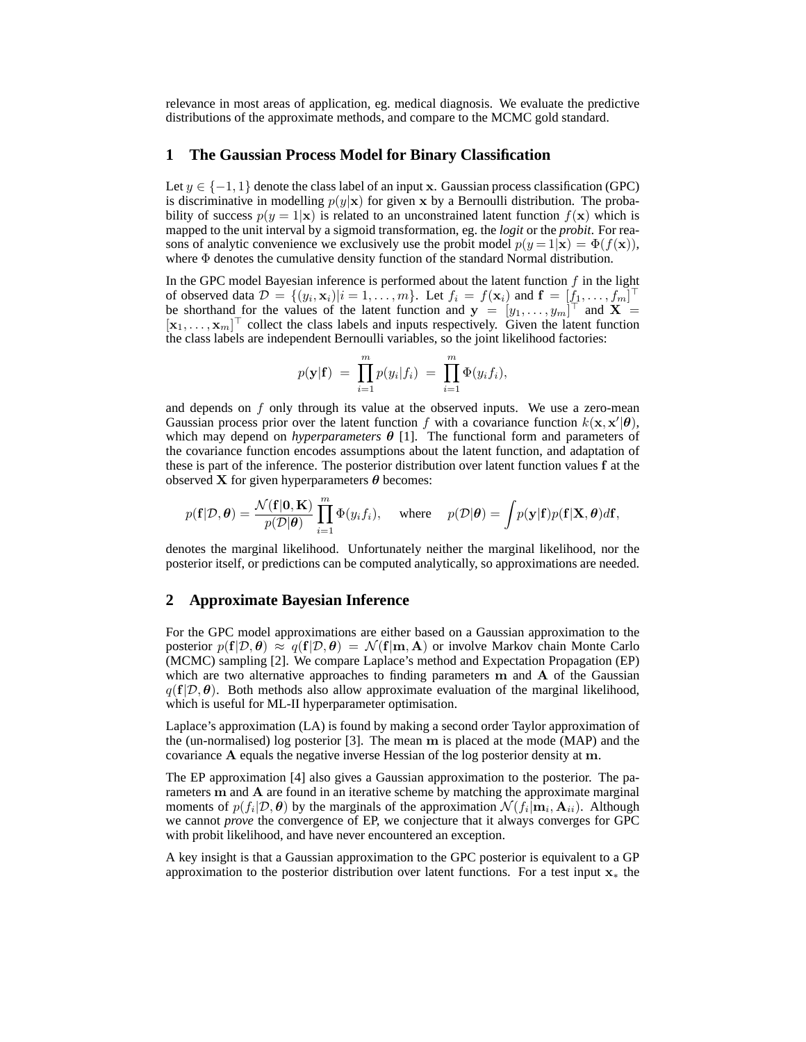relevance in most areas of application, eg. medical diagnosis. We evaluate the predictive distributions of the approximate methods, and compare to the MCMC gold standard.

## **1 The Gaussian Process Model for Binary Classification**

Let  $y \in \{-1, 1\}$  denote the class label of an input x. Gaussian process classification (GPC) is discriminative in modelling  $p(y|\mathbf{x})$  for given x by a Bernoulli distribution. The probability of success  $p(y = 1|\mathbf{x})$  is related to an unconstrained latent function  $f(\mathbf{x})$  which is mapped to the unit interval by a sigmoid transformation, eg. the *logit* or the *probit*. For reasons of analytic convenience we exclusively use the probit model  $p(y=1|\mathbf{x}) = \Phi(f(\mathbf{x}))$ , where  $\Phi$  denotes the cumulative density function of the standard Normal distribution.

In the GPC model Bayesian inference is performed about the latent function  $f$  in the light of observed data  $\mathcal{D} = \{(y_i, \mathbf{x}_i)|i = 1, \dots, m\}$ . Let  $f_i = f(\mathbf{x}_i)$  and  $\mathbf{f} = [f_1, \dots, f_m]^\top$ be shorthand for the values of the latent function and  $y = [y_1, \dots, y_m]^\top$  and  $X =$  $[\mathbf{x}_1, \dots, \mathbf{x}_m]^\top$  collect the class labels and inputs respectively. Given the latent function the class labels are independent Bernoulli variables, so the joint likelihood factories:

$$
p(\mathbf{y}|\mathbf{f}) = \prod_{i=1}^m p(y_i|f_i) = \prod_{i=1}^m \Phi(y_i f_i),
$$

and depends on  $f$  only through its value at the observed inputs. We use a zero-mean Gaussian process prior over the latent function f with a covariance function  $k(\mathbf{x}, \mathbf{x}' | \boldsymbol{\theta})$ , which may depend on *hyperparameters* θ [1]. The functional form and parameters of the covariance function encodes assumptions about the latent function, and adaptation of these is part of the inference. The posterior distribution over latent function values f at the observed **X** for given hyperparameters  $\theta$  becomes:

$$
p(\mathbf{f} | \mathcal{D}, \boldsymbol{\theta}) = \frac{\mathcal{N}(\mathbf{f} | \mathbf{0}, \mathbf{K})}{p(\mathcal{D} | \boldsymbol{\theta})} \prod_{i=1}^m \Phi(y_i f_i), \quad \text{ where } \quad p(\mathcal{D} | \boldsymbol{\theta}) = \int p(\mathbf{y} | \mathbf{f}) p(\mathbf{f} | \mathbf{X}, \boldsymbol{\theta}) d\mathbf{f},
$$

denotes the marginal likelihood. Unfortunately neither the marginal likelihood, nor the posterior itself, or predictions can be computed analytically, so approximations are needed.

## **2 Approximate Bayesian Inference**

For the GPC model approximations are either based on a Gaussian approximation to the posterior  $p(\mathbf{f}|\mathcal{D}, \theta) \approx q(\mathbf{f}|\mathcal{D}, \theta) = \mathcal{N}(\mathbf{f}|\mathbf{m}, \mathbf{A})$  or involve Markov chain Monte Carlo (MCMC) sampling [2]. We compare Laplace's method and Expectation Propagation (EP) which are two alternative approaches to finding parameters  $\bf{m}$  and  $\bf{A}$  of the Gaussian  $q(\mathbf{f}|\mathcal{D}, \boldsymbol{\theta})$ . Both methods also allow approximate evaluation of the marginal likelihood, which is useful for ML-II hyperparameter optimisation.

Laplace's approximation (LA) is found by making a second order Taylor approximation of the (un-normalised) log posterior [3]. The mean m is placed at the mode (MAP) and the covariance A equals the negative inverse Hessian of the log posterior density at m.

The EP approximation [4] also gives a Gaussian approximation to the posterior. The parameters m and A are found in an iterative scheme by matching the approximate marginal moments of  $p(f_i|\mathcal{D}, \theta)$  by the marginals of the approximation  $\mathcal{N}(f_i|\mathbf{m}_i, \mathbf{A}_{ii})$ . Although we cannot *prove* the convergence of EP, we conjecture that it always converges for GPC with probit likelihood, and have never encountered an exception.

A key insight is that a Gaussian approximation to the GPC posterior is equivalent to a GP approximation to the posterior distribution over latent functions. For a test input  $x_*$  the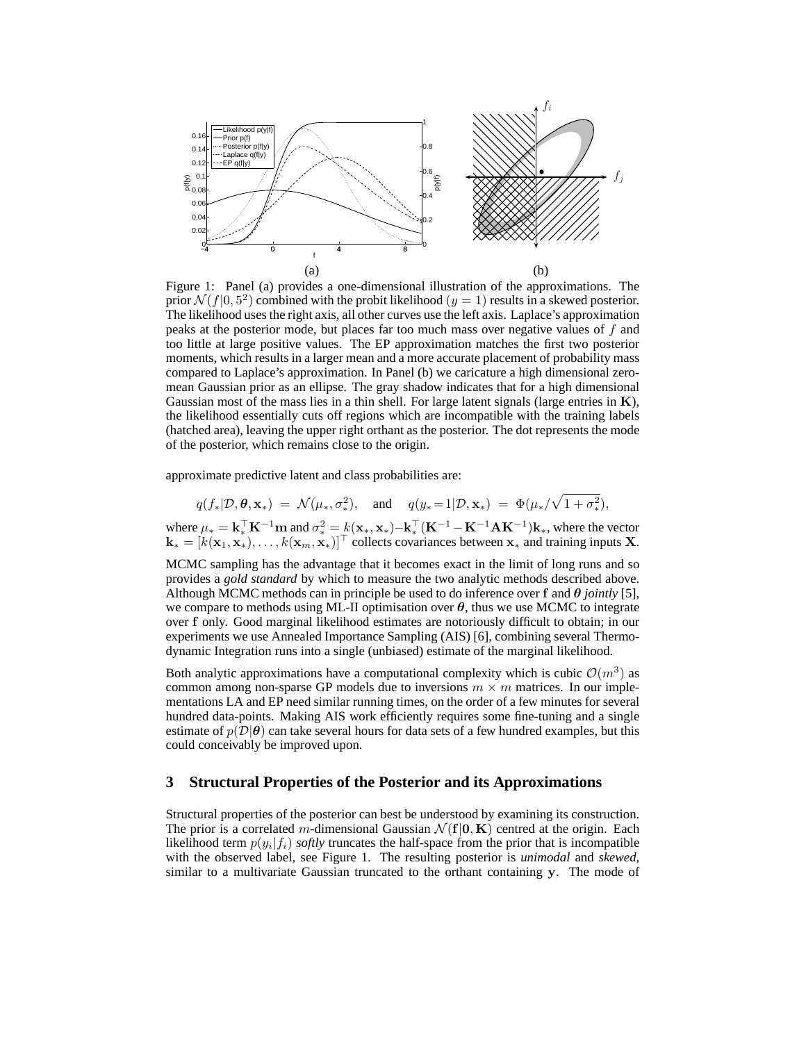

Figure 1: Panel (a) provides a one-dimensional illustration of the approximations. The prior  $\mathcal{N}(f|0, 5^2)$  combined with the probit likelihood  $(y = 1)$  results in a skewed posterior. The likelihood uses the right axis, all other curves use the left axis. Laplace's approximation peaks at the posterior mode, but places far too much mass over negative values of f and too little at large positive values. The EP approximation matches the first two posterior moments, which results in a larger mean and a more accurate placement of probability mass compared to Laplace's approximation. In Panel (b) we caricature a high dimensional zeromean Gaussian prior as an ellipse. The gray shadow indicates that for a high dimensional Gaussian most of the mass lies in a thin shell. For large latent signals (large entries in  $\mathbf{K}$ ), the likelihood essentially cuts off regions which are incompatible with the training labels (hatched area), leaving the upper right orthant as the posterior. The dot represents the mode of the posterior, which remains close to the origin.

approximate predictive latent and class probabilities are:

$$
q(f_*|\mathcal{D}, \boldsymbol{\theta}, \mathbf{x}_*) = \mathcal{N}(\mu_*, \sigma_*^2), \quad \text{and} \quad q(y_*=1|\mathcal{D}, \mathbf{x}_*) = \Phi(\mu_*/\sqrt{1+\sigma_*^2}),
$$

where  $\mu_* = \mathbf{k}_*^{\top} \mathbf{K}^{-1} \mathbf{m}$  and  $\sigma_*^2 = k(\mathbf{x}_*, \mathbf{x}_*) - \mathbf{k}_*^{\top} (\mathbf{K}^{-1} - \mathbf{K}^{-1} \mathbf{A} \mathbf{K}^{-1}) \mathbf{k}_*$ , where the vector  $\mathbf{k}_* = [k(\mathbf{x}_1, \mathbf{x}_*), \dots, k(\mathbf{x}_m, \mathbf{x}_*)]^\top$  collects covariances between  $\mathbf{x}_*$  and training inputs **X**.

MCMC sampling has the advantage that it becomes exact in the limit of long runs and so provides a *gold standard* by which to measure the two analytic methods described above. Although MCMC methods can in principle be used to do inference over f and  $\theta$  *jointly* [5], we compare to methods using ML-II optimisation over  $\theta$ , thus we use MCMC to integrate over f only. Good marginal likelihood estimates are notoriously difficult to obtain; in our experiments we use Annealed Importance Sampling (AIS) [6], combining several Thermodynamic Integration runs into a single (unbiased) estimate of the marginal likelihood.

Both analytic approximations have a computational complexity which is cubic  $\mathcal{O}(m^3)$  as common among non-sparse GP models due to inversions  $m \times m$  matrices. In our implementations LA and EP need similar running times, on the order of a few minutes for several hundred data-points. Making AIS work efficiently requires some fine-tuning and a single estimate of  $p(\mathcal{D}|\boldsymbol{\theta})$  can take several hours for data sets of a few hundred examples, but this could conceivably be improved upon.

# **3 Structural Properties of the Posterior and its Approximations**

Structural properties of the posterior can best be understood by examining its construction. The prior is a correlated m-dimensional Gaussian  $\mathcal{N}(\mathbf{f}|\mathbf{0}, \mathbf{K})$  centred at the origin. Each likelihood term  $p(y_i|f_i)$  *softly* truncates the half-space from the prior that is incompatible with the observed label, see Figure 1. The resulting posterior is *unimodal* and *skewed*, similar to a multivariate Gaussian truncated to the orthant containing y. The mode of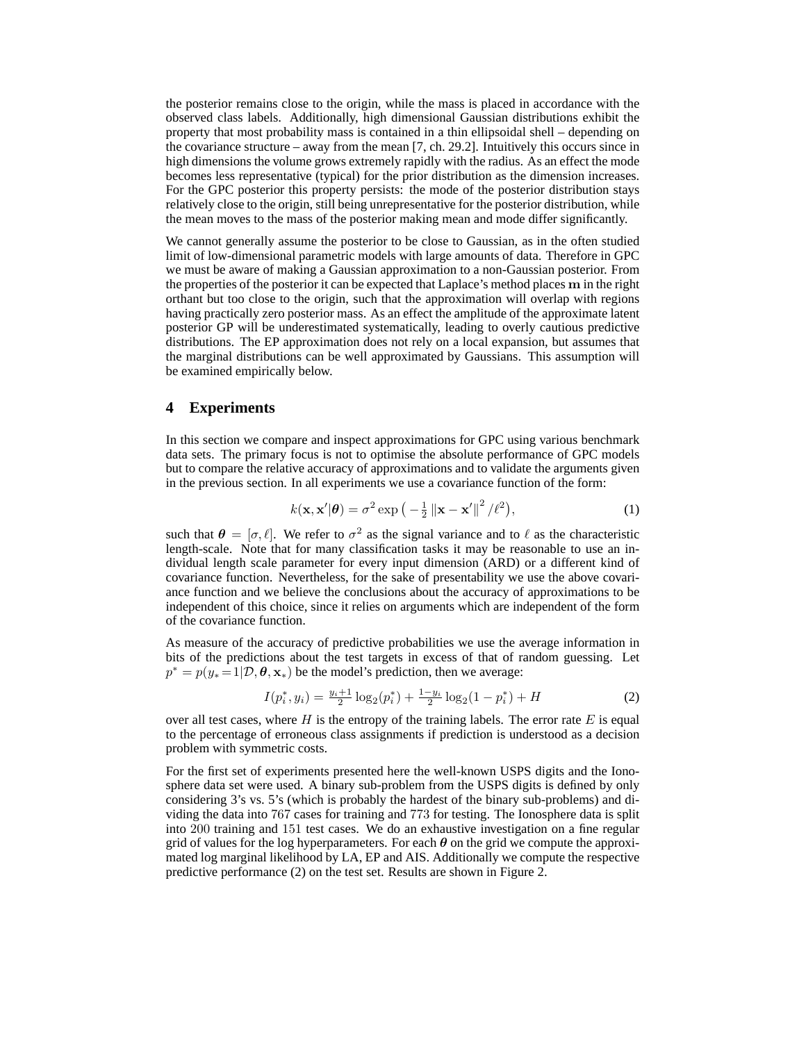the posterior remains close to the origin, while the mass is placed in accordance with the observed class labels. Additionally, high dimensional Gaussian distributions exhibit the property that most probability mass is contained in a thin ellipsoidal shell – depending on the covariance structure – away from the mean [7, ch. 29.2]. Intuitively this occurs since in high dimensions the volume grows extremely rapidly with the radius. As an effect the mode becomes less representative (typical) for the prior distribution as the dimension increases. For the GPC posterior this property persists: the mode of the posterior distribution stays relatively close to the origin, still being unrepresentative for the posterior distribution, while the mean moves to the mass of the posterior making mean and mode differ significantly.

We cannot generally assume the posterior to be close to Gaussian, as in the often studied limit of low-dimensional parametric models with large amounts of data. Therefore in GPC we must be aware of making a Gaussian approximation to a non-Gaussian posterior. From the properties of the posterior it can be expected that Laplace's method places m in the right orthant but too close to the origin, such that the approximation will overlap with regions having practically zero posterior mass. As an effect the amplitude of the approximate latent posterior GP will be underestimated systematically, leading to overly cautious predictive distributions. The EP approximation does not rely on a local expansion, but assumes that the marginal distributions can be well approximated by Gaussians. This assumption will be examined empirically below.

## **4 Experiments**

In this section we compare and inspect approximations for GPC using various benchmark data sets. The primary focus is not to optimise the absolute performance of GPC models but to compare the relative accuracy of approximations and to validate the arguments given in the previous section. In all experiments we use a covariance function of the form:

$$
k(\mathbf{x}, \mathbf{x}'|\boldsymbol{\theta}) = \sigma^2 \exp\left(-\frac{1}{2} \left\|\mathbf{x} - \mathbf{x}'\right\|^2 / \ell^2\right),\tag{1}
$$

such that  $\theta = [\sigma, \ell]$ . We refer to  $\sigma^2$  as the signal variance and to  $\ell$  as the characteristic length-scale. Note that for many classification tasks it may be reasonable to use an individual length scale parameter for every input dimension (ARD) or a different kind of covariance function. Nevertheless, for the sake of presentability we use the above covariance function and we believe the conclusions about the accuracy of approximations to be independent of this choice, since it relies on arguments which are independent of the form of the covariance function.

As measure of the accuracy of predictive probabilities we use the average information in bits of the predictions about the test targets in excess of that of random guessing. Let  $p^* = p(y_* = 1 | \mathcal{D}, \theta, \mathbf{x}_*)$  be the model's prediction, then we average:

$$
I(p_i^*, y_i) = \frac{y_i + 1}{2} \log_2(p_i^*) + \frac{1 - y_i}{2} \log_2(1 - p_i^*) + H \tag{2}
$$

over all test cases, where  $H$  is the entropy of the training labels. The error rate  $E$  is equal to the percentage of erroneous class assignments if prediction is understood as a decision problem with symmetric costs.

For the first set of experiments presented here the well-known USPS digits and the Ionosphere data set were used. A binary sub-problem from the USPS digits is defined by only considering 3's vs. 5's (which is probably the hardest of the binary sub-problems) and dividing the data into 767 cases for training and 773 for testing. The Ionosphere data is split into 200 training and 151 test cases. We do an exhaustive investigation on a fine regular grid of values for the log hyperparameters. For each  $\theta$  on the grid we compute the approximated log marginal likelihood by LA, EP and AIS. Additionally we compute the respective predictive performance (2) on the test set. Results are shown in Figure 2.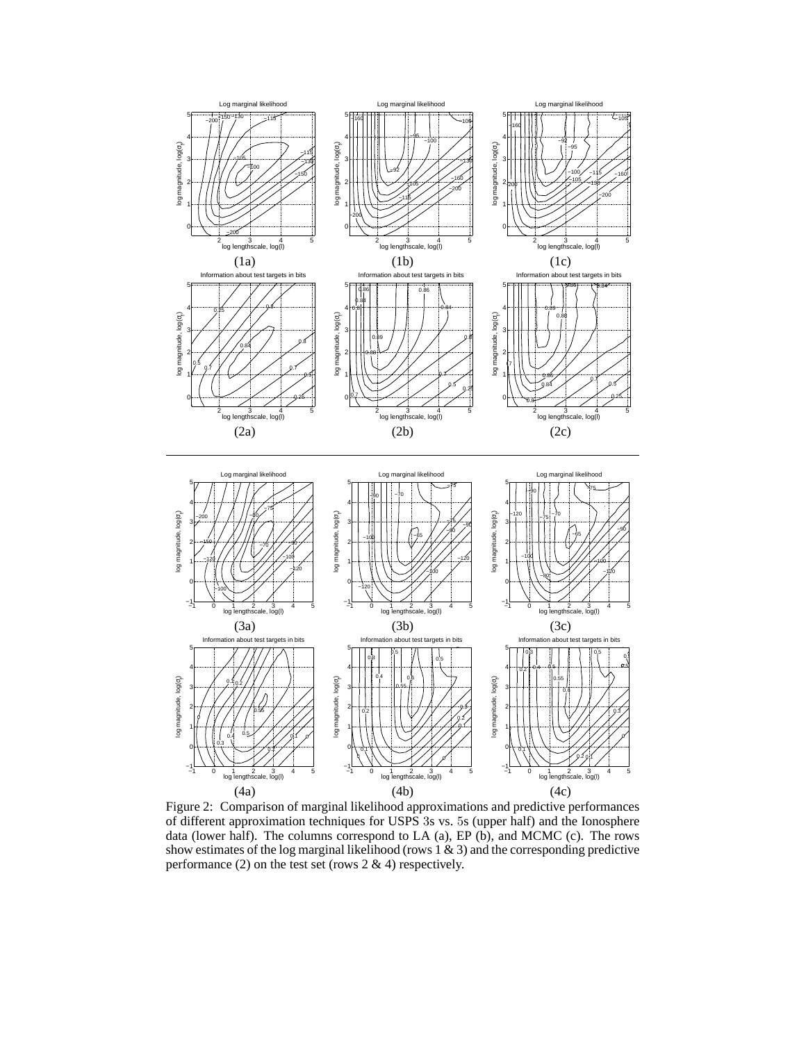

Figure 2: Comparison of marginal likelihood approximations and predictive performances of different approximation techniques for USPS 3s vs. 5s (upper half) and the Ionosphere data (lower half). The columns correspond to LA (a), EP (b), and MCMC (c). The rows show estimates of the log marginal likelihood (rows  $1 \& 3$ ) and the corresponding predictive performance (2) on the test set (rows 2 & 4) respectively.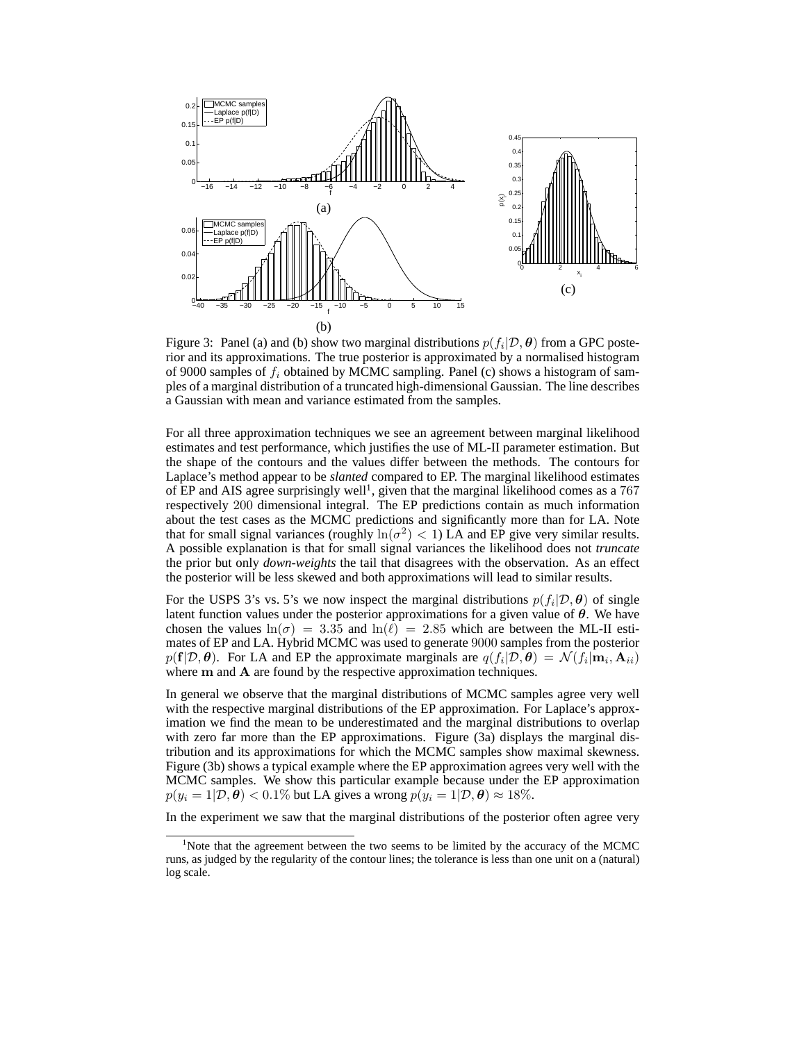

Figure 3: Panel (a) and (b) show two marginal distributions  $p(f_i | \mathcal{D}, \theta)$  from a GPC posterior and its approximations. The true posterior is approximated by a normalised histogram of 9000 samples of  $f_i$  obtained by MCMC sampling. Panel (c) shows a histogram of samples of a marginal distribution of a truncated high-dimensional Gaussian. The line describes a Gaussian with mean and variance estimated from the samples.

For all three approximation techniques we see an agreement between marginal likelihood estimates and test performance, which justifies the use of ML-II parameter estimation. But the shape of the contours and the values differ between the methods. The contours for Laplace's method appear to be *slanted* compared to EP. The marginal likelihood estimates of EP and AIS agree surprisingly well<sup>1</sup>, given that the marginal likelihood comes as a 767 respectively 200 dimensional integral. The EP predictions contain as much information about the test cases as the MCMC predictions and significantly more than for LA. Note that for small signal variances (roughly  $\ln(\sigma^2)$  < 1) LA and EP give very similar results. A possible explanation is that for small signal variances the likelihood does not *truncate* the prior but only *down-weights* the tail that disagrees with the observation. As an effect the posterior will be less skewed and both approximations will lead to similar results.

For the USPS 3's vs. 5's we now inspect the marginal distributions  $p(f_i|\mathcal{D}, \theta)$  of single latent function values under the posterior approximations for a given value of  $\theta$ . We have chosen the values  $\ln(\sigma) = 3.35$  and  $\ln(\ell) = 2.85$  which are between the ML-II estimates of EP and LA. Hybrid MCMC was used to generate 9000 samples from the posterior  $p(\mathbf{f}|\mathcal{D}, \boldsymbol{\theta})$ . For LA and EP the approximate marginals are  $q(f_i|\mathcal{D}, \boldsymbol{\theta}) = \mathcal{N}(f_i|\mathbf{m}_i, \mathbf{A}_{ii})$ where m and A are found by the respective approximation techniques.

In general we observe that the marginal distributions of MCMC samples agree very well with the respective marginal distributions of the EP approximation. For Laplace's approximation we find the mean to be underestimated and the marginal distributions to overlap with zero far more than the EP approximations. Figure (3a) displays the marginal distribution and its approximations for which the MCMC samples show maximal skewness. Figure (3b) shows a typical example where the EP approximation agrees very well with the MCMC samples. We show this particular example because under the EP approximation  $p(y_i = 1|\mathcal{D}, \theta) < 0.1\%$  but LA gives a wrong  $p(y_i = 1|\mathcal{D}, \theta) \approx 18\%$ .

In the experiment we saw that the marginal distributions of the posterior often agree very

<sup>&</sup>lt;sup>1</sup>Note that the agreement between the two seems to be limited by the accuracy of the MCMC runs, as judged by the regularity of the contour lines; the tolerance is less than one unit on a (natural) log scale.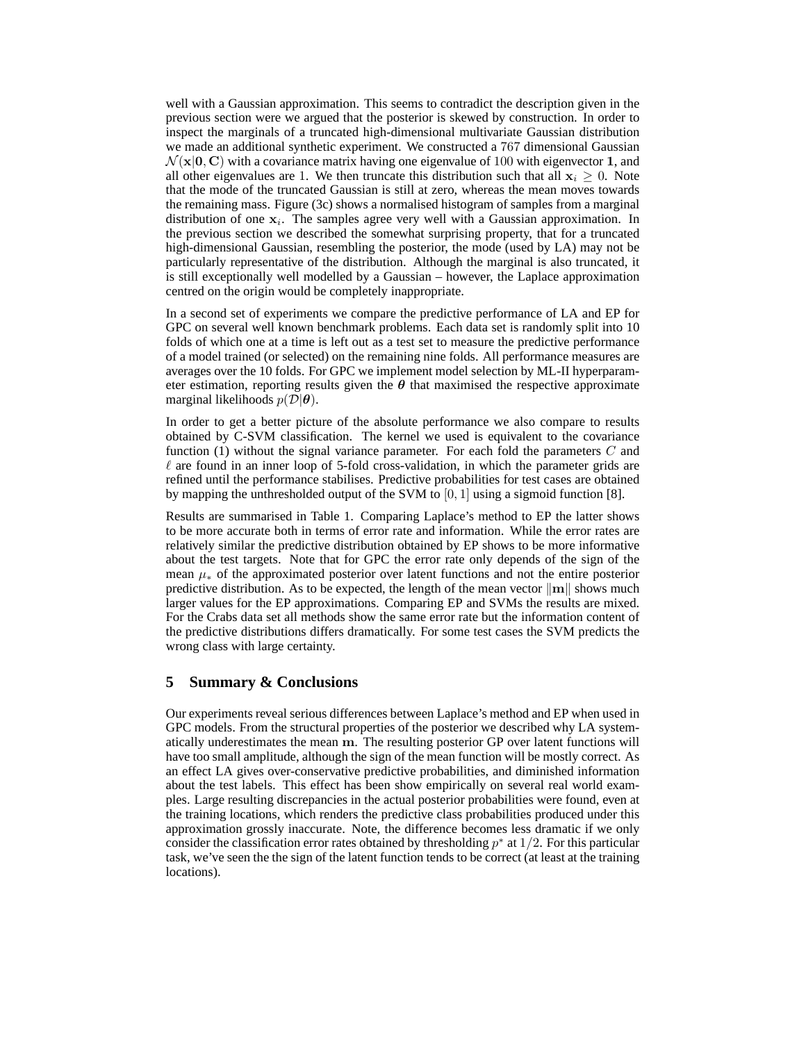well with a Gaussian approximation. This seems to contradict the description given in the previous section were we argued that the posterior is skewed by construction. In order to inspect the marginals of a truncated high-dimensional multivariate Gaussian distribution we made an additional synthetic experiment. We constructed a 767 dimensional Gaussian  $\mathcal{N}(\mathbf{x}|\mathbf{0}, \mathbf{C})$  with a covariance matrix having one eigenvalue of 100 with eigenvector 1, and all other eigenvalues are 1. We then truncate this distribution such that all  $x_i \ge 0$ . Note that the mode of the truncated Gaussian is still at zero, whereas the mean moves towards the remaining mass. Figure (3c) shows a normalised histogram of samples from a marginal distribution of one  $x_i$ . The samples agree very well with a Gaussian approximation. In the previous section we described the somewhat surprising property, that for a truncated high-dimensional Gaussian, resembling the posterior, the mode (used by LA) may not be particularly representative of the distribution. Although the marginal is also truncated, it is still exceptionally well modelled by a Gaussian – however, the Laplace approximation centred on the origin would be completely inappropriate.

In a second set of experiments we compare the predictive performance of LA and EP for GPC on several well known benchmark problems. Each data set is randomly split into 10 folds of which one at a time is left out as a test set to measure the predictive performance of a model trained (or selected) on the remaining nine folds. All performance measures are averages over the 10 folds. For GPC we implement model selection by ML-II hyperparameter estimation, reporting results given the  $\theta$  that maximised the respective approximate marginal likelihoods  $p(\mathcal{D}|\boldsymbol{\theta})$ .

In order to get a better picture of the absolute performance we also compare to results obtained by C-SVM classification. The kernel we used is equivalent to the covariance function (1) without the signal variance parameter. For each fold the parameters  $C$  and  $\ell$  are found in an inner loop of 5-fold cross-validation, in which the parameter grids are refined until the performance stabilises. Predictive probabilities for test cases are obtained by mapping the unthresholded output of the SVM to  $[0, 1]$  using a sigmoid function [8].

Results are summarised in Table 1. Comparing Laplace's method to EP the latter shows to be more accurate both in terms of error rate and information. While the error rates are relatively similar the predictive distribution obtained by EP shows to be more informative about the test targets. Note that for GPC the error rate only depends of the sign of the mean  $\mu_*$  of the approximated posterior over latent functions and not the entire posterior predictive distribution. As to be expected, the length of the mean vector  $\|\mathbf{m}\|$  shows much larger values for the EP approximations. Comparing EP and SVMs the results are mixed. For the Crabs data set all methods show the same error rate but the information content of the predictive distributions differs dramatically. For some test cases the SVM predicts the wrong class with large certainty.

## **5 Summary & Conclusions**

Our experiments reveal serious differences between Laplace's method and EP when used in GPC models. From the structural properties of the posterior we described why LA systematically underestimates the mean m. The resulting posterior GP over latent functions will have too small amplitude, although the sign of the mean function will be mostly correct. As an effect LA gives over-conservative predictive probabilities, and diminished information about the test labels. This effect has been show empirically on several real world examples. Large resulting discrepancies in the actual posterior probabilities were found, even at the training locations, which renders the predictive class probabilities produced under this approximation grossly inaccurate. Note, the difference becomes less dramatic if we only consider the classification error rates obtained by thresholding  $p^*$  at 1/2. For this particular task, we've seen the the sign of the latent function tends to be correct (at least at the training locations).